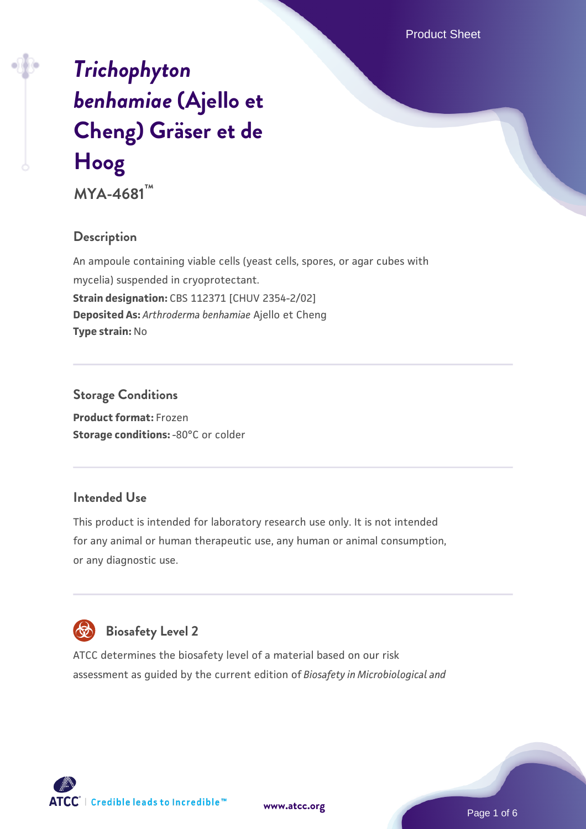# *[Trichophyton](https://www.atcc.org/products/mya-4681) [benhamiae](https://www.atcc.org/products/mya-4681)* **[\(Ajello et](https://www.atcc.org/products/mya-4681) [Cheng\) Gräser et de](https://www.atcc.org/products/mya-4681) [Hoog](https://www.atcc.org/products/mya-4681)**

**MYA-4681™**

## **Description**

An ampoule containing viable cells (yeast cells, spores, or agar cubes with mycelia) suspended in cryoprotectant. **Strain designation:** CBS 112371 [CHUV 2354-2/02] **Deposited As:** *Arthroderma benhamiae* Ajello et Cheng **Type strain:** No

#### **Storage Conditions**

**Product format:** Frozen **Storage conditions: -80°C or colder** 

#### **Intended Use**

This product is intended for laboratory research use only. It is not intended for any animal or human therapeutic use, any human or animal consumption, or any diagnostic use.



## **Biosafety Level 2**

ATCC determines the biosafety level of a material based on our risk assessment as guided by the current edition of *Biosafety in Microbiological and*

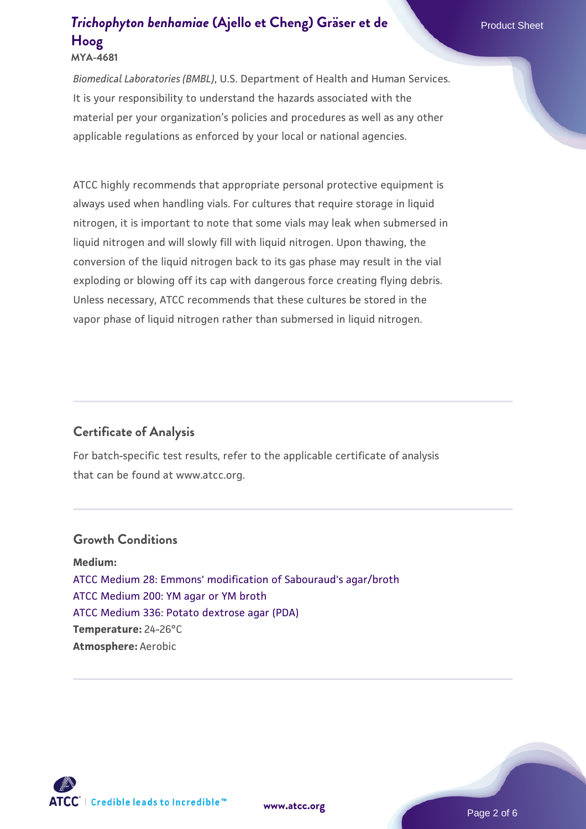### **[Trichophyton benhamiae](https://www.atcc.org/products/mya-4681)** [\(Ajello et Cheng\) Gräser et de](https://www.atcc.org/products/mya-4681) **Product Sheet [Hoog](https://www.atcc.org/products/mya-4681) MYA-4681**

*Biomedical Laboratories (BMBL)*, U.S. Department of Health and Human Services. It is your responsibility to understand the hazards associated with the material per your organization's policies and procedures as well as any other applicable regulations as enforced by your local or national agencies.

ATCC highly recommends that appropriate personal protective equipment is always used when handling vials. For cultures that require storage in liquid nitrogen, it is important to note that some vials may leak when submersed in liquid nitrogen and will slowly fill with liquid nitrogen. Upon thawing, the conversion of the liquid nitrogen back to its gas phase may result in the vial exploding or blowing off its cap with dangerous force creating flying debris. Unless necessary, ATCC recommends that these cultures be stored in the vapor phase of liquid nitrogen rather than submersed in liquid nitrogen.

### **Certificate of Analysis**

For batch-specific test results, refer to the applicable certificate of analysis that can be found at www.atcc.org.

#### **Growth Conditions**

**Medium:**  [ATCC Medium 28: Emmons' modification of Sabouraud's agar/broth](https://www.atcc.org/-/media/product-assets/documents/microbial-media-formulations/2/8/atcc-medium-28.pdf?rev=0da0c58cc2a343eeae735016b70809bb) [ATCC Medium 200: YM agar or YM broth](https://www.atcc.org/-/media/product-assets/documents/microbial-media-formulations/2/0/0/atcc-medium-200.pdf?rev=ac40fd74dc13433a809367b0b9da30fc) [ATCC Medium 336: Potato dextrose agar \(PDA\)](https://www.atcc.org/-/media/product-assets/documents/microbial-media-formulations/3/3/6/atcc-medium-336.pdf?rev=d9160ad44d934cd8b65175461abbf3b9) **Temperature:** 24-26°C **Atmosphere:** Aerobic

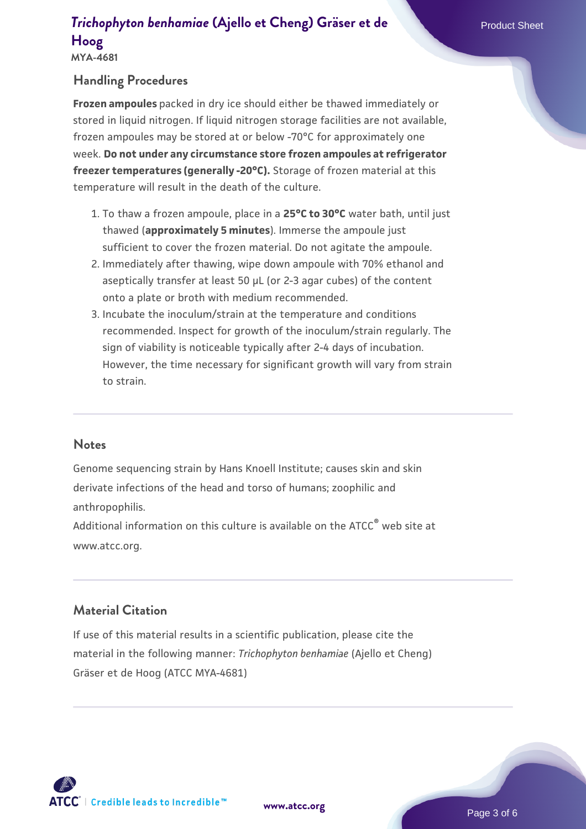# **[Trichophyton benhamiae](https://www.atcc.org/products/mya-4681)** [\(Ajello et Cheng\) Gräser et de](https://www.atcc.org/products/mya-4681) **Product Sheet [Hoog](https://www.atcc.org/products/mya-4681)**

## **Handling Procedures**

**Frozen ampoules** packed in dry ice should either be thawed immediately or stored in liquid nitrogen. If liquid nitrogen storage facilities are not available, frozen ampoules may be stored at or below -70°C for approximately one week. **Do not under any circumstance store frozen ampoules at refrigerator freezer temperatures (generally -20°C).** Storage of frozen material at this temperature will result in the death of the culture.

- 1. To thaw a frozen ampoule, place in a **25°C to 30°C** water bath, until just thawed (**approximately 5 minutes**). Immerse the ampoule just sufficient to cover the frozen material. Do not agitate the ampoule.
- 2. Immediately after thawing, wipe down ampoule with 70% ethanol and aseptically transfer at least 50 µL (or 2-3 agar cubes) of the content onto a plate or broth with medium recommended.
- Incubate the inoculum/strain at the temperature and conditions 3. recommended. Inspect for growth of the inoculum/strain regularly. The sign of viability is noticeable typically after 2-4 days of incubation. However, the time necessary for significant growth will vary from strain to strain.

#### **Notes**

Genome sequencing strain by Hans Knoell Institute; causes skin and skin derivate infections of the head and torso of humans; zoophilic and anthropophilis.

Additional information on this culture is available on the ATCC<sup>®</sup> web site at www.atcc.org.

## **Material Citation**

If use of this material results in a scientific publication, please cite the material in the following manner: *Trichophyton benhamiae* (Ajello et Cheng) Gräser et de Hoog (ATCC MYA-4681)

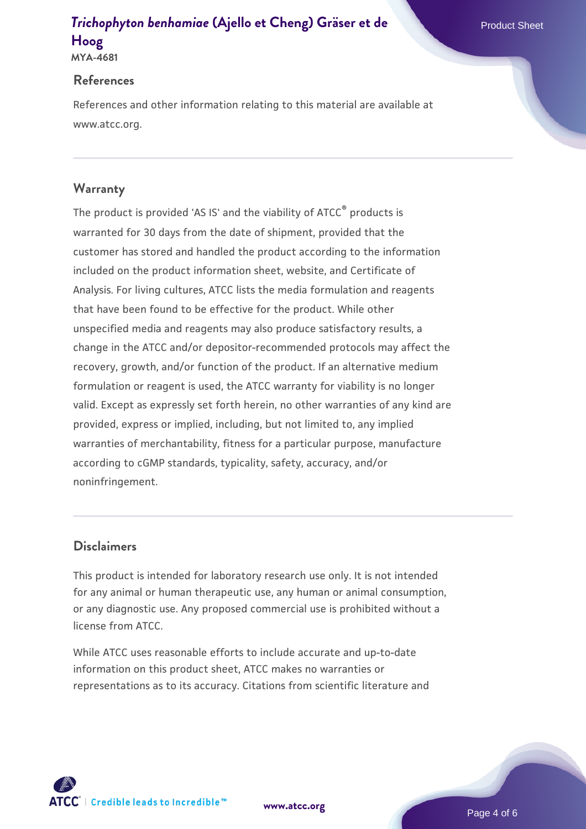# **[Trichophyton benhamiae](https://www.atcc.org/products/mya-4681)** [\(Ajello et Cheng\) Gräser et de](https://www.atcc.org/products/mya-4681) **Product Sheet [Hoog](https://www.atcc.org/products/mya-4681)**

#### **References**

References and other information relating to this material are available at www.atcc.org.

### **Warranty**

The product is provided 'AS IS' and the viability of ATCC® products is warranted for 30 days from the date of shipment, provided that the customer has stored and handled the product according to the information included on the product information sheet, website, and Certificate of Analysis. For living cultures, ATCC lists the media formulation and reagents that have been found to be effective for the product. While other unspecified media and reagents may also produce satisfactory results, a change in the ATCC and/or depositor-recommended protocols may affect the recovery, growth, and/or function of the product. If an alternative medium formulation or reagent is used, the ATCC warranty for viability is no longer valid. Except as expressly set forth herein, no other warranties of any kind are provided, express or implied, including, but not limited to, any implied warranties of merchantability, fitness for a particular purpose, manufacture according to cGMP standards, typicality, safety, accuracy, and/or noninfringement.

### **Disclaimers**

This product is intended for laboratory research use only. It is not intended for any animal or human therapeutic use, any human or animal consumption, or any diagnostic use. Any proposed commercial use is prohibited without a license from ATCC.

While ATCC uses reasonable efforts to include accurate and up-to-date information on this product sheet, ATCC makes no warranties or representations as to its accuracy. Citations from scientific literature and

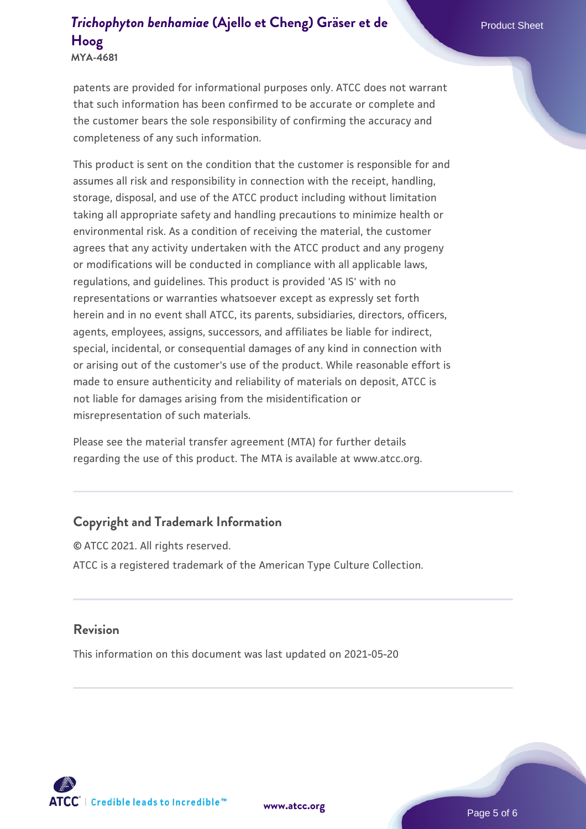# **[Trichophyton benhamiae](https://www.atcc.org/products/mya-4681)** [\(Ajello et Cheng\) Gräser et de](https://www.atcc.org/products/mya-4681) **Product Sheet [Hoog](https://www.atcc.org/products/mya-4681)**

**MYA-4681**

patents are provided for informational purposes only. ATCC does not warrant that such information has been confirmed to be accurate or complete and the customer bears the sole responsibility of confirming the accuracy and completeness of any such information.

This product is sent on the condition that the customer is responsible for and assumes all risk and responsibility in connection with the receipt, handling, storage, disposal, and use of the ATCC product including without limitation taking all appropriate safety and handling precautions to minimize health or environmental risk. As a condition of receiving the material, the customer agrees that any activity undertaken with the ATCC product and any progeny or modifications will be conducted in compliance with all applicable laws, regulations, and guidelines. This product is provided 'AS IS' with no representations or warranties whatsoever except as expressly set forth herein and in no event shall ATCC, its parents, subsidiaries, directors, officers, agents, employees, assigns, successors, and affiliates be liable for indirect, special, incidental, or consequential damages of any kind in connection with or arising out of the customer's use of the product. While reasonable effort is made to ensure authenticity and reliability of materials on deposit, ATCC is not liable for damages arising from the misidentification or misrepresentation of such materials.

Please see the material transfer agreement (MTA) for further details regarding the use of this product. The MTA is available at www.atcc.org.

### **Copyright and Trademark Information**

© ATCC 2021. All rights reserved. ATCC is a registered trademark of the American Type Culture Collection.

#### **Revision**

This information on this document was last updated on 2021-05-20